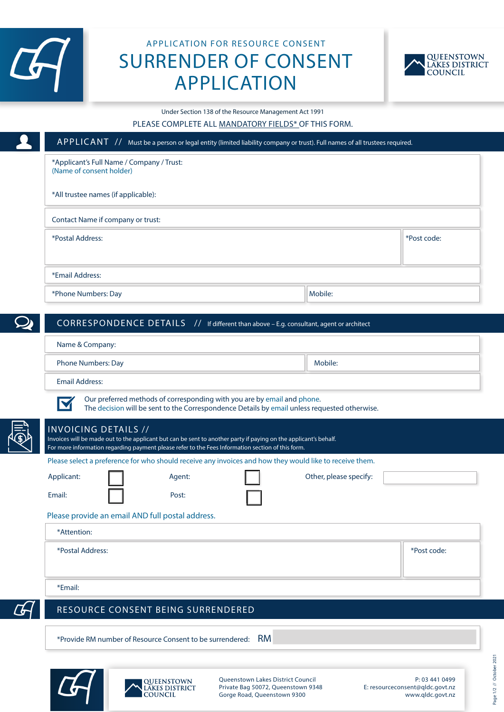

## APPLICATION FOR RESOURCE CONSENT SURRENDER OF CONSENT APPLICATION



Under Section 138 of the Resource Management Act 1991

## PLEASE COMPLETE ALL MANDATORY FIELDS\* OF THIS FORM.

|                                                                       |                                                                                                                                                                                             | APPLICANT // Must be a person or legal entity (limited liability company or trust). Full names of all trustees required.          |             |
|-----------------------------------------------------------------------|---------------------------------------------------------------------------------------------------------------------------------------------------------------------------------------------|-----------------------------------------------------------------------------------------------------------------------------------|-------------|
| *Applicant's Full Name / Company / Trust:<br>(Name of consent holder) |                                                                                                                                                                                             |                                                                                                                                   |             |
| *All trustee names (if applicable):                                   |                                                                                                                                                                                             |                                                                                                                                   |             |
| Contact Name if company or trust:                                     |                                                                                                                                                                                             |                                                                                                                                   |             |
| *Postal Address:                                                      |                                                                                                                                                                                             |                                                                                                                                   | *Post code: |
| *Email Address:                                                       |                                                                                                                                                                                             |                                                                                                                                   |             |
| *Phone Numbers: Day                                                   |                                                                                                                                                                                             | Mobile:                                                                                                                           |             |
|                                                                       |                                                                                                                                                                                             | CORRESPONDENCE DETAILS // If different than above - E.g. consultant, agent or architect                                           |             |
| Name & Company:                                                       |                                                                                                                                                                                             |                                                                                                                                   |             |
| <b>Phone Numbers: Day</b>                                             |                                                                                                                                                                                             | Mobile:                                                                                                                           |             |
|                                                                       |                                                                                                                                                                                             |                                                                                                                                   |             |
| <b>Email Address:</b>                                                 |                                                                                                                                                                                             |                                                                                                                                   |             |
|                                                                       | Our preferred methods of corresponding with you are by email and phone.<br>Invoices will be made out to the applicant but can be sent to another party if paying on the applicant's behalf. | The decision will be sent to the Correspondence Details by email unless requested otherwise.                                      |             |
|                                                                       | For more information regarding payment please refer to the Fees Information section of this form.                                                                                           |                                                                                                                                   |             |
|                                                                       | Agent:                                                                                                                                                                                      | Please select a preference for who should receive any invoices and how they would like to receive them.<br>Other, please specify: |             |
|                                                                       | Post:                                                                                                                                                                                       |                                                                                                                                   |             |
| <b>INVOICING DETAILS //</b><br>Applicant:<br>Email:                   | Please provide an email AND full postal address.                                                                                                                                            |                                                                                                                                   |             |
| *Attention:                                                           |                                                                                                                                                                                             |                                                                                                                                   |             |
| *Postal Address:                                                      |                                                                                                                                                                                             |                                                                                                                                   | *Post code: |
| *Email:                                                               |                                                                                                                                                                                             |                                                                                                                                   |             |
|                                                                       | RESOURCE CONSENT BEING SURRENDERED                                                                                                                                                          |                                                                                                                                   |             |



Gorge Road, Queenstown 9300

**QUEENSTOWN** LAKES DISTRICT

P: 03 441 0499 E: resourceconsent@qldc.govt.nz www.qldc.govt.nz